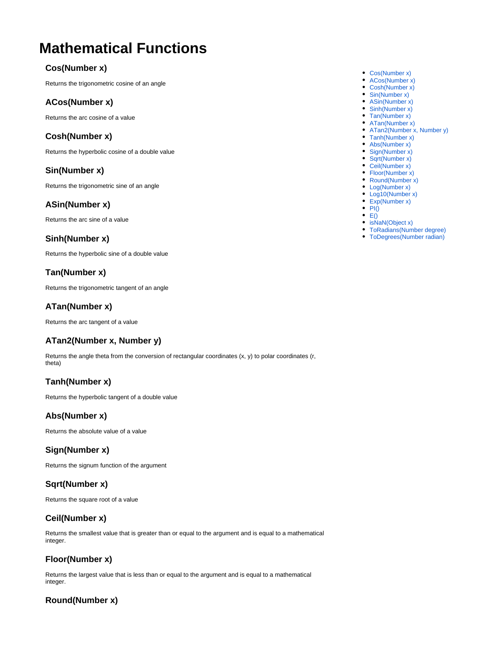# **Mathematical Functions**

# <span id="page-0-0"></span>**Cos(Number x)**

Returns the trigonometric cosine of an angle

#### <span id="page-0-1"></span>**ACos(Number x)**

Returns the arc cosine of a value

#### <span id="page-0-2"></span>**Cosh(Number x)**

Returns the hyperbolic cosine of a double value

# <span id="page-0-3"></span>**Sin(Number x)**

Returns the trigonometric sine of an angle

#### <span id="page-0-4"></span>**ASin(Number x)**

Returns the arc sine of a value

#### <span id="page-0-5"></span>**Sinh(Number x)**

Returns the hyperbolic sine of a double value

# <span id="page-0-6"></span>**Tan(Number x)**

Returns the trigonometric tangent of an angle

#### <span id="page-0-7"></span>**ATan(Number x)**

Returns the arc tangent of a value

#### <span id="page-0-8"></span>**ATan2(Number x, Number y)**

Returns the angle theta from the conversion of rectangular coordinates (x, y) to polar coordinates (r, theta)

# <span id="page-0-9"></span>**Tanh(Number x)**

Returns the hyperbolic tangent of a double value

#### <span id="page-0-10"></span>**Abs(Number x)**

Returns the absolute value of a value

#### <span id="page-0-11"></span>**Sign(Number x)**

Returns the signum function of the argument

#### <span id="page-0-12"></span>**Sqrt(Number x)**

Returns the square root of a value

# <span id="page-0-13"></span>**Ceil(Number x)**

Returns the smallest value that is greater than or equal to the argument and is equal to a mathematical integer.

#### <span id="page-0-14"></span>**Floor(Number x)**

Returns the largest value that is less than or equal to the argument and is equal to a mathematical integer.

#### <span id="page-0-15"></span>**Round(Number x)**

- [Cos\(Number x\)](#page-0-0)
- [ACos\(Number x\)](#page-0-1)
- [Cosh\(Number x\)](#page-0-2)
- [Sin\(Number x\)](#page-0-3)
- [ASin\(Number x\)](#page-0-4) • [Sinh\(Number x\)](#page-0-5)
- [Tan\(Number x\)](#page-0-6)
- [ATan\(Number x\)](#page-0-7)
- [ATan2\(Number x, Number y\)](#page-0-8)
- [Tanh\(Number x\)](#page-0-9)
- [Abs\(Number x\)](#page-0-10)
- [Sign\(Number x\)](#page-0-11)
- [Sqrt\(Number x\)](#page-0-12)
- [Ceil\(Number x\)](#page-0-13)
- [Floor\(Number x\)](#page-0-14)
- [Round\(Number x\)](#page-0-15) • [Log\(Number x\)](#page-1-0)
- [Log10\(Number x\)](#page-1-1)
- [Exp\(Number x\)](#page-1-2)
- $\bullet$  PI $\dot{()}$
- $\bullet$  [E\(\)](#page-1-4)
- [isNaN\(Object x\)](#page-1-5)
- [ToRadians\(Number degree\)](#page-1-6)
- [ToDegrees\(Number radian\)](#page-1-7)